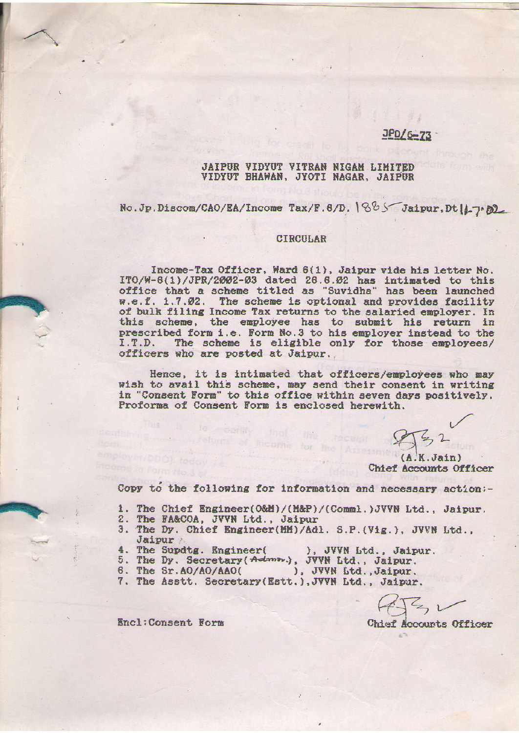### $JPD/6-73$

#### JAIPUR VIDYUT VITRAN NIGAM LIMITED VIDYUT BHAWAN, JYOTI NAGAR, JAIPUR

No. Jp. Discom/CAO/EA/Income Tax/F. 6/D. 1885 Jaipur. Dt 11-7-02

#### CIRCULAR

Income-Tax Officer, Ward 6(1), Jaipur vide his letter No. ITO/W-6(1)/JPR/2002-03 dated 26.6.02 has intimated to this<br>office that a scheme titled as "Suvidha" has been launched w.e.f. 1.7.02. The scheme is optional and provides facility of bulk filing Income Tax returns to the salaried employer. In this scheme, the employee has to submit his return in prescribed form i.e. Form No.3 to his employer instead to the I.T.D. The scheme is eligible only for those employees/ officers who are posted at Jaipur.

Hence, it is intimated that officers/employees who may wish to avail this scheme, may send their consent in writing in "Consent Form" to this office within seven days positively. Proforma of Consent Form is enclosed herewith.

 $(A.K.Jain)$ Chief Accounts Officer

Copy to the following for information and necessary action :-

- 1. The Chief Engineer(O&M)/(M&P)/(Comml.)JVVN Ltd., Jaipur.<br>2. The FA&COA, JVVN Ltd., Jaipur
- 
- 3. The Dy. Chief Engineer(MM)/Adl. S.P.(Vig.), JVVN Ltd., **Jaipur**
- 4. The Supdtg. Engineer( ), JVVN Ltd., Jaipur.
- 5. The Dy. Secretary (Adma,), JVVN Ltd., Jaipur.
- 6. The Sr. AO/AO/AAO( ), JVVN Ltd., Jaipur.
- 7. The Asstt. Secretary(Estt.), JVVN Ltd., Jaipur.

to rearily that the return of income for

Chief Accounts Officer

Encl: Consent Form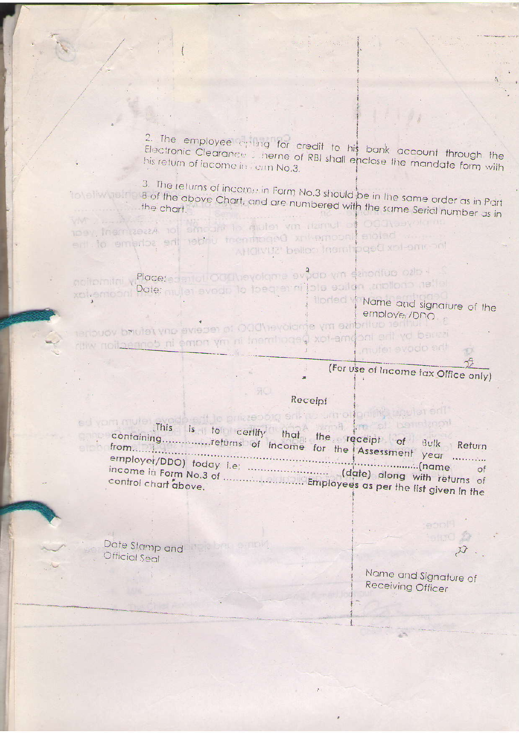2. The employee criting for credit to his bank account through the Electronic Clearance is neme of RBI shall enclose the mandate form with

3. The returns of incomet in Form No.3 should be in the same order as in Part to blive the B of the above Chart, and are numbered with the same Serial number as in

toey, them task to further win return to has the haspelland year ent to emprise ent nonmant member ine scheme of the AHOIVUZ bellon insmitpged xpl-oment

notiomitri y Place: es entoti Od Theyolome evodo ym dehonfuo ozio 4 pate: mujet avodo to toegratini jole epilen, anollono nella xol-emoon!

Illorded | Name and signature of the employer/DDO

entouov britise my amplycher to receive any feturo voucher itsued by the Inc.haw theportment in my name in domection with mutet svoda sitt

(For use of Income fax Office only)

## Receipt

gab ent le prizzenorg ent les um a loning production This is to certify that the receipt of Bulk Return containing.................returns of income for the Assessment year ........... 

Date Stamp and The Company Official Seal

> Name and Signature of Receiving Officer

ished 2